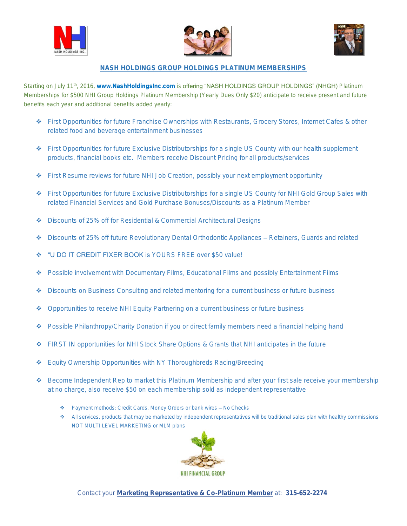





## NASH HOLDINGS GROUP HOLDINGS PLATINUM MEMBERSHIPS

Starting on July 11<sup>th</sup>, 2016, www.NashHoldingsInc.com is **offering "NASH HOLDINGS GROUP HOLDINGS" (NHGH)** Platinum Memberships for \$500 NHI Group Holdings Platinum Membership (Yearly Dues Only \$20) anticipate to receive present and future benefits each year and additional benefits added yearly:

- First Opportunities for future Franchise Ownerships with Restaurants, Grocery Stores, Internet Cafes & other related food and beverage entertainment businesses
- First Opportunities for future Exclusive Distributorships for a single US County with our health supplement products, financial books etc. Members receive Discount Pricing for all products/services
- ◆ First Resume reviews for future NHI Job Creation, possibly your next employment opportunity
- First Opportunities for future Exclusive Distributorships for a single US County for NHI Gold Group Sales with related Financial Services and Gold Purchase Bonuses/Discounts as a Platinum Member
- Discounts of 25% off for Residential & Commercial Architectural Designs
- ◆ Discounts of 25% off future Revolutionary Dental Orthodontic Appliances Retainers, Guards and related
- **\*** "U DO IT CREDIT FIXER BOOK is YOURS ERFE over \$50 value!
- ◆ Possible involvement with Documentary Films, Educational Films and possibly Entertainment Films
- Discounts on Business Consulting and related mentoring for a current business or future business
- Opportunities to receive NHI Equity Partnering on a current business or future business
- ◆ Possible Philanthropy/Charity Donation if you or direct family members need a financial helping hand
- ◆ FIRST IN opportunities for NHI Stock Share Options & Grants that NHI anticipates in the future
- ◆ Equity Ownership Opportunities with NY Thoroughbreds Racing/Breeding
- ◆ Become Independent Rep to market this Platinum Membership and after your first sale receive your membership at no charge, also receive \$50 on each membership sold as independent representative
	- Payment methods: Credit Cards, Money Orders or bank wires No Checks
	- All services, products that may be marketed by independent representatives will be traditional sales plan with healthy commissions NOT MULTI LEVEL MARKETING or MLM plans



Contact your Marketing Representative & Co-Platinum Member at: 315-652-2274